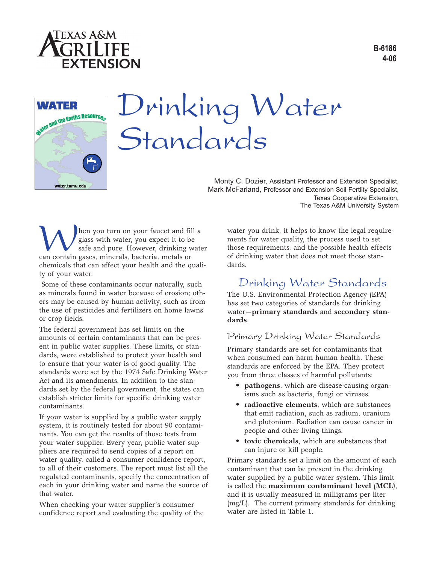





# Drinking Water Standards

Monty C. Dozier, Assistant Professor and Extension Specialist, Mark McFarland, Professor and Extension Soil Fertlity Specialist, Texas Cooperative Extension, The Texas A&M University System

**MA** hen you turn on your faucet and fill a glass with water, you expect it to be safe and pure. However, drinking wat can contain gases, minerals, bacteria, metals or glass with water, you expect it to be safe and pure. However, drinking water chemicals that can affect your health and the quality of your water.

Some of these contaminants occur naturally, such as minerals found in water because of erosion; others may be caused by human activity, such as from the use of pesticides and fertilizers on home lawns or crop fields.

The federal government has set limits on the amounts of certain contaminants that can be present in public water supplies. These limits, or standards, were established to protect your health and to ensure that your water is of good quality. The standards were set by the 1974 Safe Drinking Water Act and its amendments. In addition to the standards set by the federal government, the states can establish stricter limits for specific drinking water contaminants.

If your water is supplied by a public water supply system, it is routinely tested for about 90 contaminants. You can get the results of those tests from your water supplier. Every year, public water suppliers are required to send copies of a report on water quality, called a consumer confidence report, to all of their customers. The report must list all the regulated contaminants, specify the concentration of each in your drinking water and name the source of that water.

When checking your water supplier's consumer confidence report and evaluating the quality of the water you drink, it helps to know the legal requirements for water quality, the process used to set those requirements, and the possible health effects of drinking water that does not meet those standards.

## Drinking Water Standards

The U.S. Environmental Protection Agency (EPA) has set two categories of standards for drinking water—**primary standards** and **secondary standards**.

#### Primary Drinking Water Standards

Primary standards are set for contaminants that when consumed can harm human health. These standards are enforced by the EPA. They protect you from three classes of harmful pollutants:

- **pathogens**, which are disease-causing organisms such as bacteria, fungi or viruses.
- **radioactive elements**, which are substances that emit radiation, such as radium, uranium and plutonium. Radiation can cause cancer in people and other living things.
- **toxic chemicals**, which are substances that can injure or kill people.

Primary standards set a limit on the amount of each contaminant that can be present in the drinking water supplied by a public water system. This limit is called the **maximum contaminant level (MCL)**, and it is usually measured in milligrams per liter (mg/L). The current primary standards for drinking water are listed in Table 1.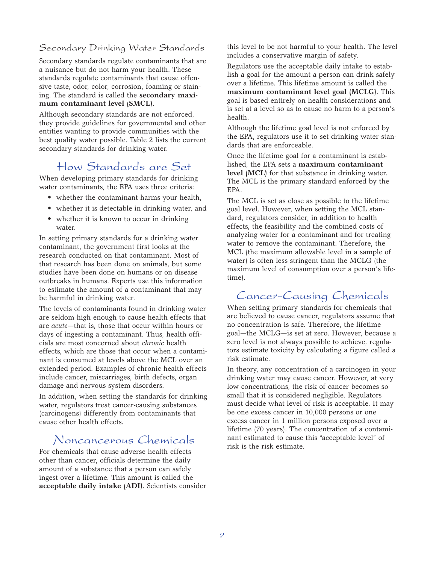### Secondary Drinking Water Standards

Secondary standards regulate contaminants that are a nuisance but do not harm your health. These standards regulate contaminants that cause offensive taste, odor, color, corrosion, foaming or staining. The standard is called the **secondary maximum contaminant level (SMCL)**.

Although secondary standards are not enforced, they provide guidelines for governmental and other entities wanting to provide communities with the best quality water possible. Table 2 lists the current secondary standards for drinking water.

# How Standards are Set

When developing primary standards for drinking water contaminants, the EPA uses three criteria:

- whether the contaminant harms your health,
- whether it is detectable in drinking water, and
- whether it is known to occur in drinking water.

In setting primary standards for a drinking water contaminant, the government first looks at the research conducted on that contaminant. Most of that research has been done on animals, but some studies have been done on humans or on disease outbreaks in humans. Experts use this information to estimate the amount of a contaminant that may be harmful in drinking water.

The levels of contaminants found in drinking water are seldom high enough to cause health effects that are *acute*—that is, those that occur within hours or days of ingesting a contaminant. Thus, health officials are most concerned about *chronic* health effects, which are those that occur when a contaminant is consumed at levels above the MCL over an extended period. Examples of chronic health effects include cancer, miscarriages, birth defects, organ damage and nervous system disorders.

In addition, when setting the standards for drinking water, regulators treat cancer-causing substances (carcinogens) differently from contaminants that cause other health effects.

# Noncancerous Chemicals

For chemicals that cause adverse health effects other than cancer, officials determine the daily amount of a substance that a person can safely ingest over a lifetime. This amount is called the **acceptable daily intake (ADI)**. Scientists consider this level to be not harmful to your health. The level includes a conservative margin of safety.

Regulators use the acceptable daily intake to establish a goal for the amount a person can drink safely over a lifetime. This lifetime amount is called the **maximum contaminant level goal (MCLG)**. This goal is based entirely on health considerations and is set at a level so as to cause no harm to a person's health.

Although the lifetime goal level is not enforced by the EPA, regulators use it to set drinking water standards that are enforceable.

Once the lifetime goal for a contaminant is established, the EPA sets a **maximum contaminant level (MCL)** for that substance in drinking water. The MCL is the primary standard enforced by the EPA.

The MCL is set as close as possible to the lifetime goal level. However, when setting the MCL standard, regulators consider, in addition to health effects, the feasibility and the combined costs of analyzing water for a contaminant and for treating water to remove the contaminant. Therefore, the MCL (the maximum allowable level in a sample of water) is often less stringent than the MCLG (the maximum level of consumption over a person's lifetime).

# Cancer-Causing Chemicals

When setting primary standards for chemicals that are believed to cause cancer, regulators assume that no concentration is safe. Therefore, the lifetime goal—the MCLG—is set at zero. However, because a zero level is not always possible to achieve, regulators estimate toxicity by calculating a figure called a risk estimate.

In theory, any concentration of a carcinogen in your drinking water may cause cancer. However, at very low concentrations, the risk of cancer becomes so small that it is considered negligible. Regulators must decide what level of risk is acceptable. It may be one excess cancer in 10,000 persons or one excess cancer in 1 million persons exposed over a lifetime (70 years). The concentration of a contaminant estimated to cause this "acceptable level" of risk is the risk estimate.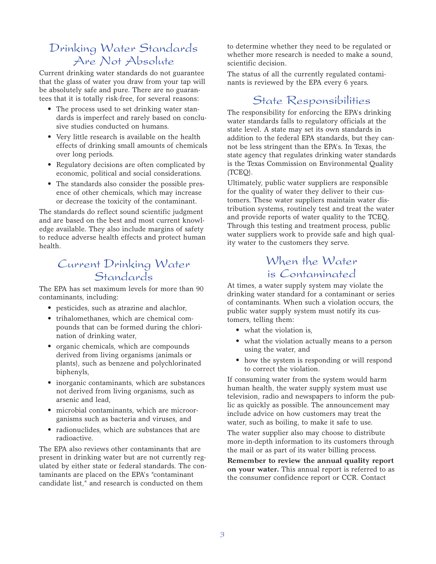# Drinking Water Standards Are Not Absolute

Current drinking water standards do not guarantee that the glass of water you draw from your tap will be absolutely safe and pure. There are no guarantees that it is totally risk-free, for several reasons:

- The process used to set drinking water standards is imperfect and rarely based on conclusive studies conducted on humans.
- Very little research is available on the health effects of drinking small amounts of chemicals over long periods.
- Regulatory decisions are often complicated by economic, political and social considerations.
- The standards also consider the possible presence of other chemicals, which may increase or decrease the toxicity of the contaminant.

The standards do reflect sound scientific judgment and are based on the best and most current knowledge available. They also include margins of safety to reduce adverse health effects and protect human health.

## Current Drinking Water Standards

The EPA has set maximum levels for more than 90 contaminants, including:

- pesticides, such as atrazine and alachlor,
- trihalomethanes, which are chemical compounds that can be formed during the chlorination of drinking water,
- organic chemicals, which are compounds derived from living organisms (animals or plants), such as benzene and polychlorinated biphenyls,
- inorganic contaminants, which are substances not derived from living organisms, such as arsenic and lead,
- microbial contaminants, which are microorganisms such as bacteria and viruses, and
- radionuclides, which are substances that are radioactive.

The EPA also reviews other contaminants that are present in drinking water but are not currently regulated by either state or federal standards. The contaminants are placed on the EPA's "contaminant candidate list," and research is conducted on them

to determine whether they need to be regulated or whether more research is needed to make a sound, scientific decision.

The status of all the currently regulated contaminants is reviewed by the EPA every 6 years.

# State Responsibilities

The responsibility for enforcing the EPA's drinking water standards falls to regulatory officials at the state level. A state may set its own standards in addition to the federal EPA standards, but they cannot be less stringent than the EPA's. In Texas, the state agency that regulates drinking water standards is the Texas Commission on Environmental Quality (TCEQ).

Ultimately, public water suppliers are responsible for the quality of water they deliver to their customers. These water suppliers maintain water distribution systems, routinely test and treat the water and provide reports of water quality to the TCEQ. Through this testing and treatment process, public water suppliers work to provide safe and high quality water to the customers they serve.

# When the Water is Contaminated

At times, a water supply system may violate the drinking water standard for a contaminant or series of contaminants. When such a violation occurs, the public water supply system must notify its customers, telling them:

- what the violation is,
- what the violation actually means to a person using the water, and
- how the system is responding or will respond to correct the violation.

If consuming water from the system would harm human health, the water supply system must use television, radio and newspapers to inform the public as quickly as possible. The announcement may include advice on how customers may treat the water, such as boiling, to make it safe to use.

The water supplier also may choose to distribute more in-depth information to its customers through the mail or as part of its water billing process.

**Remember to review the annual quality report on your water.** This annual report is referred to as the consumer confidence report or CCR. Contact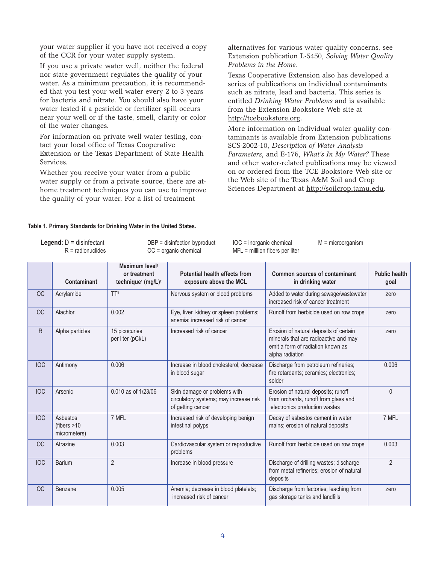your water supplier if you have not received a copy of the CCR for your water supply system.

If you use a private water well, neither the federal nor state government regulates the quality of your water. As a minimum precaution, it is recommended that you test your well water every 2 to 3 years for bacteria and nitrate. You should also have your water tested if a pesticide or fertilizer spill occurs near your well or if the taste, smell, clarity or color of the water changes.

For information on private well water testing, contact your local office of Texas Cooperative Extension or the Texas Department of State Health Services.

Whether you receive your water from a public water supply or from a private source, there are athome treatment techniques you can use to improve the quality of your water. For a list of treatment

alternatives for various water quality concerns, see Extension publication L-5450, *Solving Water Quality Problems in the Home*.

Texas Cooperative Extension also has developed a series of publications on individual contaminants such as nitrate, lead and bacteria. This series is entitled *Drinking Water Problems* and is available from the Extension Bookstore Web site at http://tcebookstore.org.

More information on individual water quality contaminants is available from Extension publications SCS-2002-10, *Description of Water Analysis Parameters*, and E-176, *What's In My Water?* These and other water-related publications may be viewed on or ordered from the TCE Bookstore Web site or the Web site of the Texas A&M Soil and Crop Sciences Department at http://soilcrop.tamu.edu.

#### **Table 1. Primary Standards for Drinking Water in the United States.**

**Legend:** D = disinfectant DBP = disinfection byproduct IOC = inorganic chemical M = microorganism<br>R = radionuclides OC = organic chemical MFL = milllion fibers per liter

 $MFL =$  milllion fibers per liter

|            | Contaminant                               | Maximum level <sup>1</sup><br>or treatment<br>technique <sup>1</sup> (mg/L) <sup>2</sup> | Potential health effects from<br>exposure above the MCL                                     | <b>Common sources of contaminant</b><br>in drinking water                                                                               | <b>Public health</b><br>goal |
|------------|-------------------------------------------|------------------------------------------------------------------------------------------|---------------------------------------------------------------------------------------------|-----------------------------------------------------------------------------------------------------------------------------------------|------------------------------|
| OC         | Acrylamide                                | TT <sup>8</sup>                                                                          | Nervous system or blood problems                                                            | Added to water during sewage/wastewater<br>increased risk of cancer treatment                                                           | zero                         |
| <b>OC</b>  | Alachlor                                  | 0.002                                                                                    | Eye, liver, kidney or spleen problems;<br>anemia: increased risk of cancer                  | Runoff from herbicide used on row crops                                                                                                 | zero                         |
| R          | Alpha particles                           | 15 picocuries<br>per liter (pCi/L)                                                       | Increased risk of cancer                                                                    | Erosion of natural deposits of certain<br>minerals that are radioactive and may<br>emit a form of radiation known as<br>alpha radiation | zero                         |
| <b>IOC</b> | Antimony                                  | 0.006                                                                                    | Increase in blood cholesterol: decrease<br>in blood sugar                                   | Discharge from petroleum refineries;<br>fire retardants; ceramics; electronics;<br>solder                                               | 0.006                        |
| <b>IOC</b> | Arsenic                                   | 0.010 as of 1/23/06                                                                      | Skin damage or problems with<br>circulatory systems; may increase risk<br>of getting cancer | Erosion of natural deposits; runoff<br>from orchards, runoff from glass and<br>electronics production wastes                            | $\Omega$                     |
| <b>IOC</b> | Asbestos<br>(fibers $>10$<br>micrometers) | 7 MFL                                                                                    | Increased risk of developing benign<br>intestinal polyps                                    | Decay of asbestos cement in water<br>mains; erosion of natural deposits                                                                 | 7 MFL                        |
| OC         | Atrazine                                  | 0.003                                                                                    | Cardiovascular system or reproductive<br>problems                                           | Runoff from herbicide used on row crops                                                                                                 | 0.003                        |
| <b>IOC</b> | Barium                                    | $\mathfrak{p}$                                                                           | Increase in blood pressure                                                                  | Discharge of drilling wastes; discharge<br>from metal refineries; erosion of natural<br>deposits                                        | $\mathfrak{p}$               |
| OC         | Benzene                                   | 0.005                                                                                    | Anemia; decrease in blood platelets;<br>increased risk of cancer                            | Discharge from factories; leaching from<br>gas storage tanks and landfills                                                              | zero                         |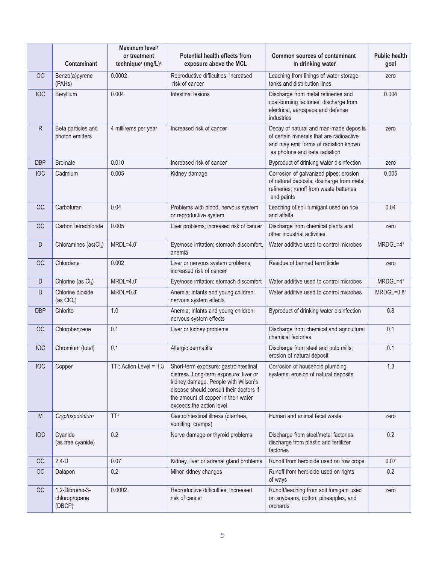|            | <b>Contaminant</b>                        | Maximum level <sup>1</sup><br>or treatment<br>technique <sup>1</sup> (mg/L) <sup>2</sup> | <b>Potential health effects from</b><br>exposure above the MCL                                                                                                                                                                        | <b>Common sources of contaminant</b><br>in drinking water                                                                                                    | <b>Public health</b><br>goal |
|------------|-------------------------------------------|------------------------------------------------------------------------------------------|---------------------------------------------------------------------------------------------------------------------------------------------------------------------------------------------------------------------------------------|--------------------------------------------------------------------------------------------------------------------------------------------------------------|------------------------------|
| <b>OC</b>  | Benzo(a)pyrene<br>(PAHs)                  | 0.0002                                                                                   | Reproductive difficulties; increased<br>risk of cancer                                                                                                                                                                                | Leaching from linings of water storage<br>tanks and distribution lines                                                                                       | zero                         |
| <b>IOC</b> | Beryllium                                 | 0.004                                                                                    | Intestinal lesions                                                                                                                                                                                                                    | Discharge from metal refineries and<br>coal-burning factories; discharge from<br>electrical, aerospace and defense<br>industries                             | 0.004                        |
| R          | Beta particles and<br>photon emitters     | 4 millirems per year                                                                     | Increased risk of cancer                                                                                                                                                                                                              | Decay of natural and man-made deposits<br>of certain minerals that are radioactive<br>and may emit forms of radiation known<br>as photons and beta radiation | zero                         |
| <b>DBP</b> | <b>Bromate</b>                            | 0.010                                                                                    | Increased risk of cancer                                                                                                                                                                                                              | Byproduct of drinking water disinfection                                                                                                                     | zero                         |
| <b>IOC</b> | Cadmium                                   | 0.005                                                                                    | Kidney damage                                                                                                                                                                                                                         | Corrosion of galvanized pipes; erosion<br>of natural deposits; discharge from metal<br>refineries; runoff from waste batteries<br>and paints                 | 0.005                        |
| <b>OC</b>  | Carbofuran                                | 0.04                                                                                     | Problems with blood, nervous system<br>or reproductive system                                                                                                                                                                         | Leaching of soil fumigant used on rice<br>and alfalfa                                                                                                        | 0.04                         |
| <b>OC</b>  | Carbon tetrachloride                      | 0.005                                                                                    | Liver problems; increased risk of cancer                                                                                                                                                                                              | Discharge from chemical plants and<br>other industrial activities                                                                                            | zero                         |
| D          | Chloramines (as(Cl2)                      | $MRDL=4.01$                                                                              | Eye/nose irritation; stomach discomfort,<br>anemia                                                                                                                                                                                    | Water additive used to control microbes                                                                                                                      | MRDGL=41                     |
| <b>OC</b>  | Chlordane                                 | 0.002                                                                                    | Liver or nervous system problems;<br>increased risk of cancer                                                                                                                                                                         | Residue of banned termiticide                                                                                                                                | zero                         |
| D          | Chlorine (as Cl2)                         | $MRDL=4.01$                                                                              | Eye/nose irritation; stomach discomfort                                                                                                                                                                                               | Water additive used to control microbes                                                                                                                      | MRDGL=41                     |
| D          | Chlorine dioxide<br>(as $ClO2$ )          | $MRDL=0.81$                                                                              | Anemia; infants and young children:<br>nervous system effects                                                                                                                                                                         | Water additive used to control microbes                                                                                                                      | $MRDGL=0.81$                 |
| <b>DBP</b> | Chlorite                                  | 1.0                                                                                      | Anemia; infants and young children:<br>nervous system effects                                                                                                                                                                         | Byproduct of drinking water disinfection                                                                                                                     | 0.8                          |
| <b>OC</b>  | Chlorobenzene                             | 0.1                                                                                      | Liver or kidney problems                                                                                                                                                                                                              | Discharge from chemical and agricultural<br>chemical factories                                                                                               | 0.1                          |
| <b>IOC</b> | Chromium (total)                          | 0.1                                                                                      | Allergic dermatitis                                                                                                                                                                                                                   | Discharge from steel and pulp mills;<br>erosion of natural deposit                                                                                           | 0.1                          |
| <b>IOC</b> | Copper                                    | TT <sup>7</sup> ; Action Level = $1.3$                                                   | Short-term exposure: gastrointestinal<br>distress. Long-term exposure: liver or<br>kidney damage. People with Wilson's<br>disease should consult their doctors if<br>the amount of copper in their water<br>exceeds the action level. | Corrosion of household plumbing<br>systems; erosion of natural deposits                                                                                      | 1.3                          |
| M          | Cryptosporidium                           | TT <sup>3</sup>                                                                          | Gastrointestinal illness (diarrhea,<br>vomiting, cramps)                                                                                                                                                                              | Human and animal fecal waste                                                                                                                                 | zero                         |
| <b>IOC</b> | Cyanide<br>(as free cyanide)              | 0.2                                                                                      | Nerve damage or thyroid problems                                                                                                                                                                                                      | Discharge from steel/metal factories;<br>discharge from plastic and fertilizer<br>factories                                                                  | 0.2                          |
| OC         | $2,4-D$                                   | 0.07                                                                                     | Kidney, liver or adrenal gland problems                                                                                                                                                                                               | Runoff from herbicide used on row crops                                                                                                                      | 0.07                         |
| <b>OC</b>  | Dalapon                                   | 0.2                                                                                      | Minor kidney changes                                                                                                                                                                                                                  | Runoff from herbicide used on rights<br>of ways                                                                                                              | 0.2                          |
| OC         | 1,2-Dibromo-3-<br>chloropropane<br>(DBCP) | 0.0002                                                                                   | Reproductive difficulties; increased<br>risk of cancer                                                                                                                                                                                | Runoff/leaching from soil fumigant used<br>on soybeans, cotton, pineapples, and<br>orchards                                                                  | zero                         |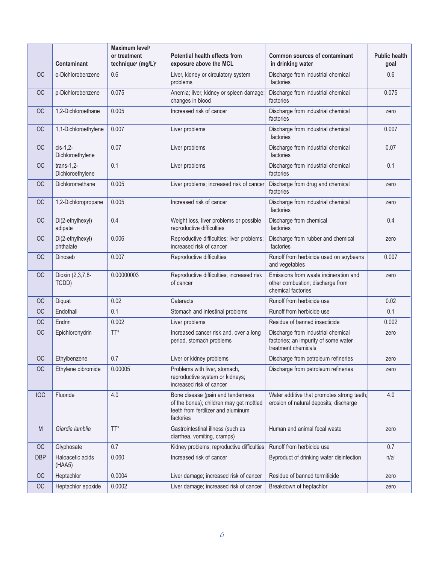|            | <b>Contaminant</b>                 | Maximum level <sup>1</sup><br>or treatment<br>technique <sup>1</sup> (mg/L) <sup>2</sup> | <b>Potential health effects from</b><br>exposure above the MCL                                                                  | <b>Common sources of contaminant</b><br>in drinking water                                         | <b>Public health</b><br>goal |
|------------|------------------------------------|------------------------------------------------------------------------------------------|---------------------------------------------------------------------------------------------------------------------------------|---------------------------------------------------------------------------------------------------|------------------------------|
| <b>OC</b>  | o-Dichlorobenzene                  | 0.6                                                                                      | Liver, kidney or circulatory system<br>problems                                                                                 | Discharge from industrial chemical<br>factories                                                   | 0.6                          |
| <b>OC</b>  | p-Dichlorobenzene                  | 0.075                                                                                    | Anemia; liver, kidney or spleen damage;<br>changes in blood                                                                     | Discharge from industrial chemical<br>factories                                                   | 0.075                        |
| <b>OC</b>  | 1,2-Dichloroethane                 | 0.005                                                                                    | Increased risk of cancer                                                                                                        | Discharge from industrial chemical<br>factories                                                   | zero                         |
| OC         | 1,1-Dichloroethylene               | 0.007                                                                                    | Liver problems                                                                                                                  | Discharge from industrial chemical<br>factories                                                   | 0.007                        |
| OC         | $cis-1,2$ -<br>Dichloroethylene    | 0.07                                                                                     | Liver problems                                                                                                                  | Discharge from industrial chemical<br>factories                                                   | 0.07                         |
| <b>OC</b>  | trans- $1,2$ -<br>Dichloroethylene | 0.1                                                                                      | Liver problems                                                                                                                  | Discharge from industrial chemical<br>factories                                                   | 0.1                          |
| <b>OC</b>  | Dichloromethane                    | 0.005                                                                                    | Liver problems; increased risk of cancer                                                                                        | Discharge from drug and chemical<br>factories                                                     | zero                         |
| OC         | 1,2-Dichloropropane                | 0.005                                                                                    | Increased risk of cancer                                                                                                        | Discharge from industrial chemical<br>factories                                                   | zero                         |
| OC         | Di(2-ethylhexyl)<br>adipate        | 0.4                                                                                      | Weight loss, liver problems or possible<br>reproductive difficulties                                                            | Discharge from chemical<br>factories                                                              | 0.4                          |
| <b>OC</b>  | Di(2-ethylhexyl)<br>phthalate      | 0.006                                                                                    | Reproductive difficulties; liver problems;<br>increased risk of cancer                                                          | Discharge from rubber and chemical<br>factories                                                   | zero                         |
| <b>OC</b>  | Dinoseb                            | 0.007                                                                                    | Reproductive difficulties                                                                                                       | Runoff from herbicide used on soybeans<br>and vegetables                                          | 0.007                        |
| OC         | Dioxin (2,3,7,8-<br>TCDD)          | 0.00000003                                                                               | Reproductive difficulties; increased risk<br>of cancer                                                                          | Emissions from waste incineration and<br>other combustion; discharge from<br>chemical factories   | zero                         |
| <b>OC</b>  | Diquat                             | 0.02                                                                                     | Cataracts                                                                                                                       | Runoff from herbicide use                                                                         | 0.02                         |
| OC         | Endothall                          | 0.1                                                                                      | Stomach and intestinal problems                                                                                                 | Runoff from herbicide use                                                                         | 0.1                          |
| OC         | Endrin                             | 0.002                                                                                    | Liver problems                                                                                                                  | Residue of banned insecticide                                                                     | 0.002                        |
| OC         | Epichlorohydrin                    | $TT^8$                                                                                   | Increased cancer risk and, over a long<br>period, stomach problems                                                              | Discharge from industrial chemical<br>factories; an impurity of some water<br>treatment chemicals | zero                         |
| <b>OC</b>  | Ethylbenzene                       | 0.7                                                                                      | Liver or kidney problems                                                                                                        | Discharge from petroleum refineries                                                               | zero                         |
| <b>OC</b>  | Ethylene dibromide                 | 0.00005                                                                                  | Problems with liver, stomach,<br>reproductive system or kidneys;<br>increased risk of cancer                                    | Discharge from petroleum refineries                                                               | zero                         |
| <b>IOC</b> | Fluoride                           | 4.0                                                                                      | Bone disease (pain and tenderness<br>of the bones); children may get mottled<br>teeth from fertilizer and aluminum<br>factories | Water additive that promotes strong teeth;<br>erosion of natural deposits; discharge              | 4.0                          |
| M          | Giardia lamblia                    | TT <sup>3</sup>                                                                          | Gastrointestinal illness (such as<br>diarrhea, vomiting, cramps)                                                                | Human and animal fecal waste                                                                      | zero                         |
| OC         | Glyphosate                         | 0.7                                                                                      | Kidney problems; reproductive difficulties                                                                                      | Runoff from herbicide use                                                                         | 0.7                          |
| <b>DBP</b> | Haloacetic acids<br>(HAA5)         | 0.060                                                                                    | Increased risk of cancer                                                                                                        | Byproduct of drinking water disinfection                                                          | n/a <sup>6</sup>             |
| <b>OC</b>  | Heptachlor                         | 0.0004                                                                                   | Liver damage; increased risk of cancer                                                                                          | Residue of banned termiticide                                                                     | zero                         |
| OC         | Heptachlor epoxide                 | 0.0002                                                                                   | Liver damage; increased risk of cancer                                                                                          | Breakdown of heptachlor                                                                           | zero                         |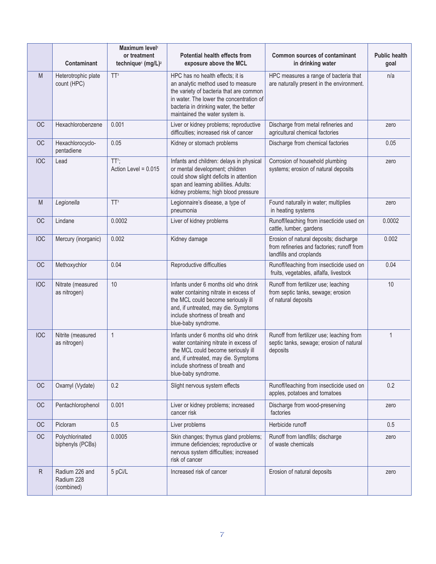|              | Contaminant                                | Maximum level <sup>1</sup><br>or treatment<br>technique <sup>1</sup> (mg/L) <sup>2</sup> | <b>Potential health effects from</b><br>exposure above the MCL                                                                                                                                                                             | <b>Common sources of contaminant</b><br>in drinking water                                                       | <b>Public health</b><br>goal |
|--------------|--------------------------------------------|------------------------------------------------------------------------------------------|--------------------------------------------------------------------------------------------------------------------------------------------------------------------------------------------------------------------------------------------|-----------------------------------------------------------------------------------------------------------------|------------------------------|
| M            | Heterotrophic plate<br>count (HPC)         | TT <sup>3</sup>                                                                          | HPC has no health effects; it is<br>an analytic method used to measure<br>the variety of bacteria that are common<br>in water. The lower the concentration of<br>bacteria in drinking water, the better<br>maintained the water system is. | HPC measures a range of bacteria that<br>are naturally present in the environment.                              | n/a                          |
| <b>OC</b>    | Hexachlorobenzene                          | 0.001                                                                                    | Liver or kidney problems; reproductive<br>difficulties; increased risk of cancer                                                                                                                                                           | Discharge from metal refineries and<br>agricultural chemical factories                                          | zero                         |
| <b>OC</b>    | Hexachlorocyclo-<br>pentadiene             | 0.05                                                                                     | Kidney or stomach problems                                                                                                                                                                                                                 | Discharge from chemical factories                                                                               | 0.05                         |
| <b>IOC</b>   | Lead                                       | TT <sup>7</sup> ;<br>Action Level = $0.015$                                              | Infants and children: delays in physical<br>or mental development; children<br>could show slight deficits in attention<br>span and learning abilities. Adults:<br>kidney problems; high blood pressure                                     | Corrosion of household plumbing<br>systems; erosion of natural deposits                                         | zero                         |
| M            | Legionella                                 | TT <sup>3</sup>                                                                          | Legionnaire's disease, a type of<br>pneumonia                                                                                                                                                                                              | Found naturally in water; multiplies<br>in heating systems                                                      | zero                         |
| <b>OC</b>    | Lindane                                    | 0.0002                                                                                   | Liver of kidney problems                                                                                                                                                                                                                   | Runoff/leaching from insecticide used on<br>cattle, lumber, gardens                                             | 0.0002                       |
| <b>IOC</b>   | Mercury (inorganic)                        | 0.002                                                                                    | Kidney damage                                                                                                                                                                                                                              | Erosion of natural deposits; discharge<br>from refineries and factories; runoff from<br>landfills and croplands | 0.002                        |
| <b>OC</b>    | Methoxychlor                               | 0.04                                                                                     | Reproductive difficulties                                                                                                                                                                                                                  | Runoff/leaching from insecticide used on<br>fruits, vegetables, alfalfa, livestock                              | 0.04                         |
| <b>IOC</b>   | Nitrate (measured<br>as nitrogen)          | 10                                                                                       | Infants under 6 months old who drink<br>water containing nitrate in excess of<br>the MCL could become seriously ill<br>and, if untreated, may die. Symptoms<br>include shortness of breath and<br>blue-baby syndrome.                      | Runoff from fertilizer use; leaching<br>from septic tanks, sewage; erosion<br>of natural deposits               | 10                           |
| <b>IOC</b>   | Nitrite (measured<br>as nitrogen)          | $\mathbf{1}$                                                                             | Infants under 6 months old who drink<br>water containing nitrate in excess of<br>the MCL could become seriously ill<br>and, if untreated, may die. Symptoms<br>include shortness of breath and<br>blue-baby syndrome.                      | Runoff from fertilizer use; leaching from<br>septic tanks, sewage; erosion of natural<br>deposits               | $\mathbf{1}$                 |
| <b>OC</b>    | Oxamyl (Vydate)                            | 0.2                                                                                      | Slight nervous system effects                                                                                                                                                                                                              | Runoff/leaching from insecticide used on<br>apples, potatoes and tomatoes                                       | 0.2                          |
| OC           | Pentachlorophenol                          | 0.001                                                                                    | Liver or kidney problems; increased<br>cancer risk                                                                                                                                                                                         | Discharge from wood-preserving<br>factories                                                                     | zero                         |
| OC           | Picloram                                   | 0.5                                                                                      | Liver problems                                                                                                                                                                                                                             | Herbicide runoff                                                                                                | 0.5                          |
| <b>OC</b>    | Polychlorinated<br>biphenyls (PCBs)        | 0.0005                                                                                   | Skin changes; thymus gland problems;<br>immune deficiencies; reproductive or<br>nervous system difficulties; increased<br>risk of cancer                                                                                                   | Runoff from landfills; discharge<br>of waste chemicals                                                          | zero                         |
| $\mathsf{R}$ | Radium 226 and<br>Radium 228<br>(combined) | 5 pCi/L                                                                                  | Increased risk of cancer                                                                                                                                                                                                                   | Erosion of natural deposits                                                                                     | zero                         |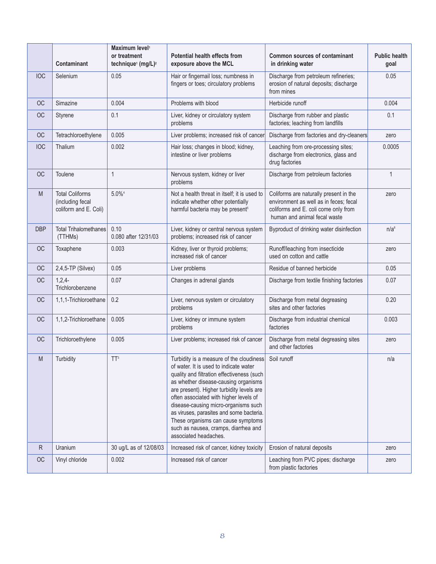|              | <b>Contaminant</b>                                                  | Maximum level <sup>1</sup><br>or treatment<br>technique <sup>1</sup> (mg/L) <sup>2</sup> | Potential health effects from<br>exposure above the MCL                                                                                                                                                                                                                                                                                                                                                                                                    | <b>Common sources of contaminant</b><br>in drinking water                                                                                                | <b>Public health</b><br>goal |
|--------------|---------------------------------------------------------------------|------------------------------------------------------------------------------------------|------------------------------------------------------------------------------------------------------------------------------------------------------------------------------------------------------------------------------------------------------------------------------------------------------------------------------------------------------------------------------------------------------------------------------------------------------------|----------------------------------------------------------------------------------------------------------------------------------------------------------|------------------------------|
| <b>IOC</b>   | Selenium                                                            | 0.05                                                                                     | Hair or fingernail loss; numbness in<br>fingers or toes; circulatory problems                                                                                                                                                                                                                                                                                                                                                                              | Discharge from petroleum refineries;<br>erosion of natural deposits; discharge<br>from mines                                                             | 0.05                         |
| <b>OC</b>    | Simazine                                                            | 0.004                                                                                    | Problems with blood                                                                                                                                                                                                                                                                                                                                                                                                                                        | Herbicide runoff                                                                                                                                         | 0.004                        |
| <b>OC</b>    | Styrene                                                             | 0.1                                                                                      | Liver, kidney or circulatory system<br>problems                                                                                                                                                                                                                                                                                                                                                                                                            | Discharge from rubber and plastic<br>factories; leaching from landfills                                                                                  | 0.1                          |
| OC           | Tetrachloroethylene                                                 | 0.005                                                                                    | Liver problems; increased risk of cancer                                                                                                                                                                                                                                                                                                                                                                                                                   | Discharge from factories and dry-cleaners                                                                                                                | zero                         |
| <b>IOC</b>   | Thalium                                                             | 0.002                                                                                    | Hair loss; changes in blood; kidney,<br>intestine or liver problems                                                                                                                                                                                                                                                                                                                                                                                        | Leaching from ore-processing sites;<br>discharge from electronics, glass and<br>drug factories                                                           | 0.0005                       |
| <b>OC</b>    | Toulene                                                             | $\mathbf{1}$                                                                             | Nervous system, kidney or liver<br>problems                                                                                                                                                                                                                                                                                                                                                                                                                | Discharge from petroleum factories                                                                                                                       | $\mathbf{1}$                 |
| M            | <b>Total Coliforms</b><br>(including fecal<br>coliform and E. Coli) | $5.0\%$ <sup>4</sup>                                                                     | Not a health threat in itself; it is used to<br>indicate whether other potentially<br>harmful bacteria may be present <sup>5</sup>                                                                                                                                                                                                                                                                                                                         | Coliforms are naturally present in the<br>environment as well as in feces; fecal<br>coliforms and E. coli come only from<br>human and animal fecal waste | zero                         |
| <b>DBP</b>   | <b>Total Trihalomethanes</b><br>(TTHMs)                             | 0.10<br>0.080 after 12/31/03                                                             | Liver, kidney or central nervous system<br>problems; increased risk of cancer                                                                                                                                                                                                                                                                                                                                                                              | Byproduct of drinking water disinfection                                                                                                                 | n/a <sup>6</sup>             |
| <b>OC</b>    | Toxaphene                                                           | 0.003                                                                                    | Kidney, liver or thyroid problems;<br>increased risk of cancer                                                                                                                                                                                                                                                                                                                                                                                             | Runoff/leaching from insecticide<br>used on cotton and cattle                                                                                            | zero                         |
| OC           | $2,4,5$ -TP (Silvex)                                                | 0.05                                                                                     | Liver problems                                                                                                                                                                                                                                                                                                                                                                                                                                             | Residue of banned herbicide                                                                                                                              | 0.05                         |
| <b>OC</b>    | 1,2,4<br>Trichlorobenzene                                           | 0.07                                                                                     | Changes in adrenal glands                                                                                                                                                                                                                                                                                                                                                                                                                                  | Discharge from textile finishing factories                                                                                                               | 0.07                         |
| <b>OC</b>    | 1,1,1-Trichloroethane                                               | 0.2                                                                                      | Liver, nervous system or circulatory<br>problems                                                                                                                                                                                                                                                                                                                                                                                                           | Discharge from metal degreasing<br>sites and other factories                                                                                             | 0.20                         |
| OC           | 1,1,2-Trichloroethane                                               | 0.005                                                                                    | Liver, kidney or immune system<br>problems                                                                                                                                                                                                                                                                                                                                                                                                                 | Discharge from industrial chemical<br>factories                                                                                                          | 0.003                        |
| <b>OC</b>    | Trichloroethylene                                                   | 0.005                                                                                    | Liver problems; increased risk of cancer                                                                                                                                                                                                                                                                                                                                                                                                                   | Discharge from metal degreasing sites<br>and other factories                                                                                             | zero                         |
| M            | Turbidity                                                           | TT <sup>3</sup>                                                                          | Turbidity is a measure of the cloudiness<br>of water. It is used to indicate water<br>quality and filtration effectiveness (such<br>as whether disease-causing organisms<br>are present). Higher turbidity levels are<br>often associated with higher levels of<br>disease-causing micro-organisms such<br>as viruses, parasites and some bacteria.<br>These organisms can cause symptoms<br>such as nausea, cramps, diarrhea and<br>associated headaches. | Soil runoff                                                                                                                                              | n/a                          |
| $\mathsf{R}$ | Uranium                                                             | 30 ug/L as of 12/08/03                                                                   | Increased risk of cancer, kidney toxicity                                                                                                                                                                                                                                                                                                                                                                                                                  | Erosion of natural deposits                                                                                                                              | zero                         |
| OC           | Vinyl chloride                                                      | 0.002                                                                                    | Increased risk of cancer                                                                                                                                                                                                                                                                                                                                                                                                                                   | Leaching from PVC pipes; discharge<br>from plastic factories                                                                                             | zero                         |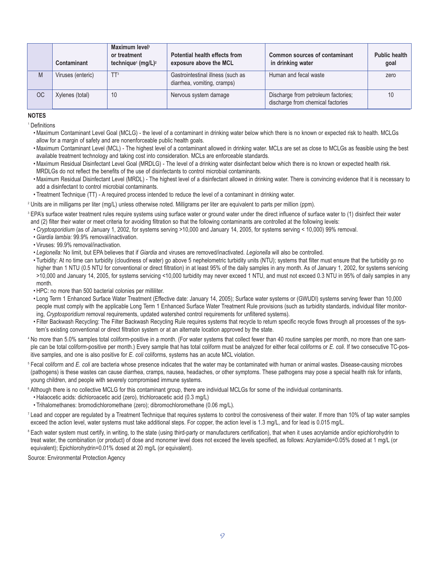|           | Contaminant       | Maximum level <sup>1</sup><br>or treatment<br>technique <sup>1</sup> (mg/L) <sup>2</sup> | <b>Potential health effects from</b><br>exposure above the MCL   | Common sources of contaminant<br>in drinking water                       | Public health<br>qoal |
|-----------|-------------------|------------------------------------------------------------------------------------------|------------------------------------------------------------------|--------------------------------------------------------------------------|-----------------------|
| M         | Viruses (enteric) | TT <sup>3</sup>                                                                          | Gastrointestinal illness (such as<br>diarrhea, vomiting, cramps) | Human and fecal waste                                                    | zero                  |
| <b>OC</b> | Xylenes (total)   | 10                                                                                       | Nervous system damage                                            | Discharge from petroleum factories;<br>discharge from chemical factories |                       |

#### **NOTES**

**Definitions** 

- Maximum Contaminant Level Goal (MCLG) the level of a contaminant in drinking water below which there is no known or expected risk to health. MCLGs allow for a margin of safety and are nonenforceable public health goals.
- Maximum Contaminant Level (MCL) The highest level of a contaminant allowed in drinking water. MCLs are set as close to MCLGs as feasible using the best available treatment technology and taking cost into consideration. MCLs are enforceable standards.
- Maximum Residual Disinfectant Level Goal (MRDLG) The level of a drinking water disinfectant below which there is no known or expected health risk. MRDLGs do not reflect the benefits of the use of disinfectants to control microbial contaminants.
- Maximum Residual Disinfectant Level (MRDL) The highest level of a disinfectant allowed in drinking water. There is convincing evidence that it is necessary to add a disinfectant to control microbial contaminants.
- Treatment Technique (TT) A required process intended to reduce the level of a contaminant in drinking water.
- <sup>2</sup> Units are in milligams per liter (mg/L) unless otherwise noted. Milligrams per liter are equivalent to parts per million (ppm).
- <sup>3</sup> EPA's surface water treatment rules require systems using surface water or ground water under the direct influence of surface water to (1) disinfect their water and (2) filter their water or meet criteria for avoiding filtration so that the following contaminants are controlled at the following levels:
	- *Cryptosporidium* (as of January 1, 2002, for systems serving >10,000 and January 14, 2005, for systems serving < 10,000) 99% removal.
	- •*Giardia lambia:* 99.9% removal/inactivation.
	- Viruses: 99.9% removal/inactivation.
	- *Legionella:* No limit, but EPA believes that if *Giardia* and viruses are removed/inactivated. *Legionella* will also be controlled.
	- Turbidity: At no time can turbidity (cloudiness of water) go above 5 nephelometric turbidity units (NTU); systems that filter must ensure that the turbidity go no higher than 1 NTU (0.5 NTU for conventional or direct filtration) in at least 95% of the daily samples in any month. As of January 1, 2002, for systems servicing >10,000 and January 14, 2005, for systems servicing <10,000 turbidity may never exceed 1 NTU, and must not exceed 0.3 NTU in 95% of daily samples in any month.
	- HPC: no more than 500 bacterial colonies per milliliter.
	- Long Term 1 Enhanced Surface Water Treatment (Effective date: January 14, 2005); Surface water systems or (GWUDI) systems serving fewer than 10,000 people must comply with the applicable Long Term 1 Enhanced Surface Water Treatment Rule provisions (such as turbidity standards, individual filter monitoring, *Cryptosporidium* removal requirements, updated watershed control requirements for unfiltered systems).
	- Filter Backwash Recycling: The Filter Backwash Recycling Rule requires systems that recycle to return specific recycle flows through all processes of the system's existing conventional or direct filtration system or at an alternate location approved by the state.
- <sup>4</sup> No more than 5.0% samples total coliform-positive in a month. (For water systems that collect fewer than 40 routine samples per month, no more than one sample can be total coliform-positive per month.) Every sample that has total coliform must be analyzed for either fecal coliforms or *E. coli*. If two consecutive TC-positive samples, and one is also positive for *E. coli* coliforms, systems has an acute MCL violation.

<sup>5</sup> Fecal coliform and *E. coli* are bacteria whose presence indicates that the water may be contaminated with human or animal wastes. Disease-causing microbes (pathogens) is these wastes can cause diarrhea, cramps, nausea, headaches, or other symptoms. These pathogens may pose a special health risk for infants, young children, and people with severely compromised immune systems.

- <sup>6</sup> Although there is no collective MCLG for this contaminant group, there are individual MCLGs for some of the individual contaminants.
	- Halaocetic acids: dichloroacetic acid (zero), trichloroacetic acid (0.3 mg/L)
	- Trihalomethanes: bromodichloromethane (zero); dibromochloromethane (0.06 mg/L).
- $<sup>7</sup>$  Lead and copper are regulated by a Treatment Technique that requires systems to control the corrosiveness of their water. If more than 10% of tap water samples</sup> exceed the action level, water systems must take additional steps. For copper, the action level is 1.3 mg/L, and for lead is 0.015 mg/L.
- <sup>8</sup> Each water system must certify, in writing, to the state (using third-party or manufacturers certification), that when it uses acrylamide and/or epichlorohydrin to treat water, the combination (or product) of dose and monomer level does not exceed the levels specified, as follows: Acrylamide=0.05% dosed at 1 mg/L (or equivalent); Epichlorohydrin=0.01% dosed at 20 mg/L (or equivalent).

Source: Environmental Protection Agency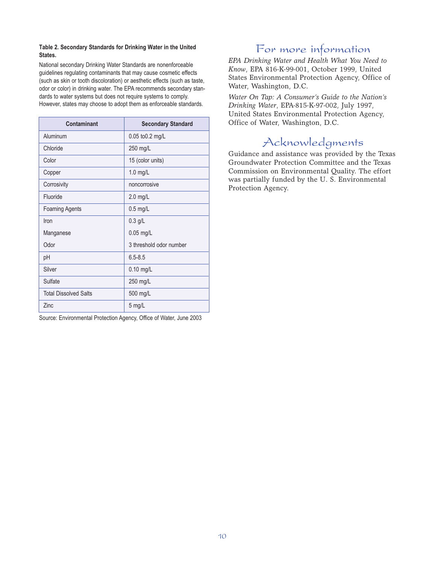#### **Table 2. Secondary Standards for Drinking Water in the United States.**

National secondary Drinking Water Standards are nonenforceable guidelines regulating contaminants that may cause cosmetic effects (such as skin or tooth discoloration) or aesthetic effects (such as taste, odor or color) in drinking water. The EPA recommends secondary standards to water systems but does not require systems to comply. However, states may choose to adopt them as enforceable standards.

| Contaminant                  | <b>Secondary Standard</b> |
|------------------------------|---------------------------|
| Aluminum                     | 0.05 to 0.2 mg/L          |
| Chloride                     | 250 mg/L                  |
| Color                        | 15 (color units)          |
| Copper                       | $1.0$ mg/L                |
| Corrosivity                  | noncorrosive              |
| Fluoride                     | 2.0 mg/L                  |
| <b>Foaming Agents</b>        | $0.5$ mg/L                |
| Iron                         | $0.3$ g/L                 |
| Manganese                    | $0.05$ mg/L               |
| Odor                         | 3 threshold odor number   |
| рH                           | $6.5 - 8.5$               |
| Silver                       | $0.10$ mg/L               |
| Sulfate                      | 250 mg/L                  |
| <b>Total Dissolved Salts</b> | 500 mg/L                  |
| Zinc                         | 5 mg/L                    |

Source: Environmental Protection Agency, Office of Water, June 2003

## For more information

*EPA Drinking Water and Health What You Need to Know*, EPA 816-K-99-001, October 1999, United States Environmental Protection Agency, Office of Water, Washington, D.C.

*Water On Tap: A Consumer's Guide to the Nation's Drinking Water*, EPA-815-K-97-002, July 1997, United States Environmental Protection Agency, Office of Water, Washington, D.C.

# Acknowledgments

Guidance and assistance was provided by the Texas Groundwater Protection Committee and the Texas Commission on Environmental Quality. The effort was partially funded by the U. S. Environmental Protection Agency.